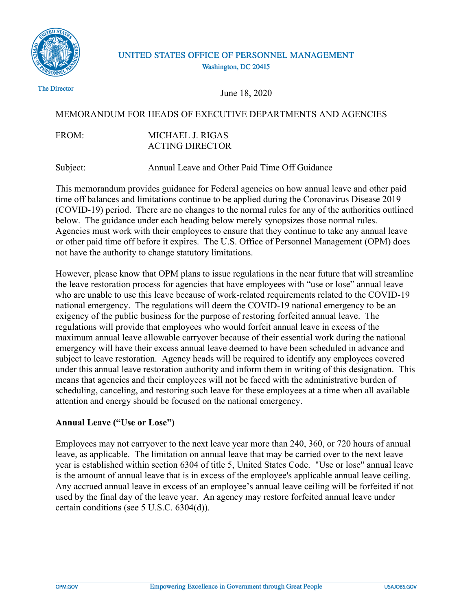

# UNITED STATES OFFICE OF PERSONNEL MANAGEMENT Washington, DC 20415

The Director

June 18, 2020

# MEMORANDUM FOR HEADS OF EXECUTIVE DEPARTMENTS AND AGENCIES

### FROM: MICHAEL J. RIGAS ACTING DIRECTOR

Subject: Annual Leave and Other Paid Time Off Guidance

This memorandum provides guidance for Federal agencies on how annual leave and other paid time off balances and limitations continue to be applied during the Coronavirus Disease 2019 (COVID-19) period. There are no changes to the normal rules for any of the authorities outlined below. The guidance under each heading below merely synopsizes those normal rules. Agencies must work with their employees to ensure that they continue to take any annual leave or other paid time off before it expires. The U.S. Office of Personnel Management (OPM) does not have the authority to change statutory limitations.

However, please know that OPM plans to issue regulations in the near future that will streamline the leave restoration process for agencies that have employees with "use or lose" annual leave who are unable to use this leave because of work-related requirements related to the COVID-19 national emergency. The regulations will deem the COVID-19 national emergency to be an exigency of the public business for the purpose of restoring forfeited annual leave. The regulations will provide that employees who would forfeit annual leave in excess of the maximum annual leave allowable carryover because of their essential work during the national emergency will have their excess annual leave deemed to have been scheduled in advance and subject to leave restoration. Agency heads will be required to identify any employees covered under this annual leave restoration authority and inform them in writing of this designation. This means that agencies and their employees will not be faced with the administrative burden of scheduling, canceling, and restoring such leave for these employees at a time when all available attention and energy should be focused on the national emergency.

# **Annual Leave ("Use or Lose")**

Employees may not carryover to the next leave year more than 240, 360, or 720 hours of annual leave, as applicable. The limitation on annual leave that may be carried over to the next leave year is established within section 6304 of title 5, United States Code. "Use or lose" annual leave is the amount of annual leave that is in excess of the employee's applicable annual leave ceiling. Any accrued annual leave in excess of an employee's annual leave ceiling will be forfeited if not used by the final day of the leave year. An agency may restore forfeited annual leave under certain conditions (see 5 U.S.C. 6304(d)).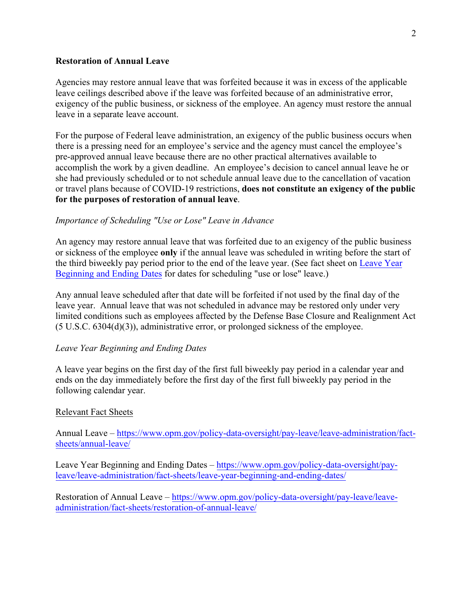#### **Restoration of Annual Leave**

Agencies may restore annual leave that was forfeited because it was in excess of the applicable leave ceilings described above if the leave was forfeited because of an administrative error, exigency of the public business, or sickness of the employee. An agency must restore the annual leave in a separate leave account.

For the purpose of Federal leave administration, an exigency of the public business occurs when there is a pressing need for an employee's service and the agency must cancel the employee's pre-approved annual leave because there are no other practical alternatives available to accomplish the work by a given deadline. An employee's decision to cancel annual leave he or she had previously scheduled or to not schedule annual leave due to the cancellation of vacation or travel plans because of COVID-19 restrictions, **does not constitute an exigency of the public for the purposes of restoration of annual leave**.

### *Importance of Scheduling "Use or Lose" Leave in Advance*

An agency may restore annual leave that was forfeited due to an exigency of the public business or sickness of the employee **only** if the annual leave was scheduled in writing before the start of the third biweekly pay period prior to the end of the leave year. (See fact sheet on [Leave Year](https://www.opm.gov/policy-data-oversight/pay-leave/leave-administration/fact-sheets/leave-year-beginning-and-ending-dates/) [Beginning and Ending Dates](https://www.opm.gov/policy-data-oversight/pay-leave/leave-administration/fact-sheets/leave-year-beginning-and-ending-dates/) for dates for scheduling "use or lose" leave.)

Any annual leave scheduled after that date will be forfeited if not used by the final day of the leave year. Annual leave that was not scheduled in advance may be restored only under very limited conditions such as employees affected by the Defense Base Closure and Realignment Act (5 U.S.C. 6304(d)(3)), administrative error, or prolonged sickness of the employee.

#### *Leave Year Beginning and Ending Dates*

A leave year begins on the first day of the first full biweekly pay period in a calendar year and ends on the day immediately before the first day of the first full biweekly pay period in the following calendar year.

#### Relevant Fact Sheets

Annual Leave – [https://www.opm.gov/policy-data-oversight/pay-leave/leave-administration/fact](https://www.opm.gov/policy-data-oversight/pay-leave/leave-administration/fact-sheets/annual-leave/)[sheets/annual-leave/](https://www.opm.gov/policy-data-oversight/pay-leave/leave-administration/fact-sheets/annual-leave/)

Leave Year Beginning and Ending Dates – [https://www.opm.gov/policy-data-oversight/pay](https://www.opm.gov/policy-data-oversight/pay-leave/leave-administration/fact-sheets/leave-year-beginning-and-ending-dates/)[leave/leave-administration/fact-sheets/leave-year-beginning-and-ending-dates/](https://www.opm.gov/policy-data-oversight/pay-leave/leave-administration/fact-sheets/leave-year-beginning-and-ending-dates/)

Restoration of Annual Leave – [https://www.opm.gov/policy-data-oversight/pay-leave/leave](https://www.opm.gov/policy-data-oversight/pay-leave/leave-administration/fact-sheets/restoration-of-annual-leave/)[administration/fact-sheets/restoration-of-annual-leave/](https://www.opm.gov/policy-data-oversight/pay-leave/leave-administration/fact-sheets/restoration-of-annual-leave/)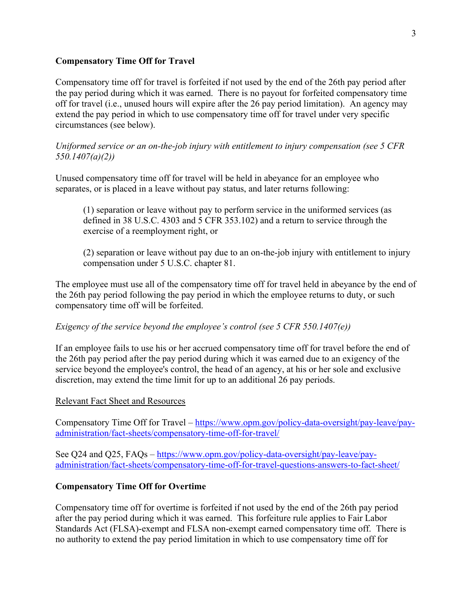### **Compensatory Time Off for Travel**

Compensatory time off for travel is forfeited if not used by the end of the 26th pay period after the pay period during which it was earned. There is no payout for forfeited compensatory time off for travel (i.e., unused hours will expire after the 26 pay period limitation). An agency may extend the pay period in which to use compensatory time off for travel under very specific circumstances (see below).

*Uniformed service or an on-the-job injury with entitlement to injury compensation (see 5 CFR 550.1407(a)(2))* 

Unused compensatory time off for travel will be held in abeyance for an employee who separates, or is placed in a leave without pay status, and later returns following:

(1) separation or leave without pay to perform service in the uniformed services (as defined in 38 U.S.C. 4303 and 5 CFR 353.102) and a return to service through the exercise of a reemployment right, or

(2) separation or leave without pay due to an on-the-job injury with entitlement to injury compensation under 5 U.S.C. chapter 81.

The employee must use all of the compensatory time off for travel held in abeyance by the end of the 26th pay period following the pay period in which the employee returns to duty, or such compensatory time off will be forfeited.

# *Exigency of the service beyond the employee's control (see 5 CFR 550.1407(e))*

If an employee fails to use his or her accrued compensatory time off for travel before the end of the 26th pay period after the pay period during which it was earned due to an exigency of the service beyond the employee's control, the head of an agency, at his or her sole and exclusive discretion, may extend the time limit for up to an additional 26 pay periods.

### Relevant Fact Sheet and Resources

Compensatory Time Off for Travel – [https://www.opm.gov/policy-data-oversight/pay-leave/pay](https://www.opm.gov/policy-data-oversight/pay-leave/pay-administration/fact-sheets/compensatory-time-off-for-travel/)[administration/fact-sheets/compensatory-time-off-for-travel/](https://www.opm.gov/policy-data-oversight/pay-leave/pay-administration/fact-sheets/compensatory-time-off-for-travel/)

See Q24 and Q25, FAQs – [https://www.opm.gov/policy-data-oversight/pay-leave/pay](https://www.opm.gov/policy-data-oversight/pay-leave/pay-administration/fact-sheets/compensatory-time-off-for-travel-questions-answers-to-fact-sheet/)[administration/fact-sheets/compensatory-time-off-for-travel-questions-answers-to-fact-sheet/](https://www.opm.gov/policy-data-oversight/pay-leave/pay-administration/fact-sheets/compensatory-time-off-for-travel-questions-answers-to-fact-sheet/)

### **Compensatory Time Off for Overtime**

Compensatory time off for overtime is forfeited if not used by the end of the 26th pay period after the pay period during which it was earned. This forfeiture rule applies to Fair Labor Standards Act (FLSA)-exempt and FLSA non-exempt earned compensatory time off. There is no authority to extend the pay period limitation in which to use compensatory time off for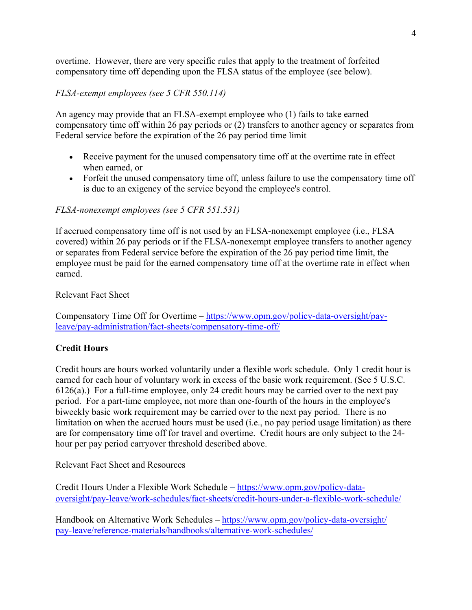overtime. However, there are very specific rules that apply to the treatment of forfeited compensatory time off depending upon the FLSA status of the employee (see below).

## *FLSA-exempt employees (see 5 CFR 550.114)*

An agency may provide that an FLSA-exempt employee who (1) fails to take earned compensatory time off within 26 pay periods or (2) transfers to another agency or separates from Federal service before the expiration of the 26 pay period time limit–

- Receive payment for the unused compensatory time off at the overtime rate in effect when earned, or
- Forfeit the unused compensatory time off, unless failure to use the compensatory time off is due to an exigency of the service beyond the employee's control.

### *FLSA-nonexempt employees (see 5 CFR 551.531)*

If accrued compensatory time off is not used by an FLSA-nonexempt employee (i.e., FLSA covered) within 26 pay periods or if the FLSA-nonexempt employee transfers to another agency or separates from Federal service before the expiration of the 26 pay period time limit, the employee must be paid for the earned compensatory time off at the overtime rate in effect when earned.

### Relevant Fact Sheet

Compensatory Time Off for Overtime – [https://www.opm.gov/policy-data-oversight/pay](https://www.opm.gov/policy-data-oversight/pay-leave/pay-administration/fact-sheets/compensatory-time-off/)[leave/pay-administration/fact-sheets/compensatory-time-off/](https://www.opm.gov/policy-data-oversight/pay-leave/pay-administration/fact-sheets/compensatory-time-off/)

### **Credit Hours**

Credit hours are hours worked voluntarily under a flexible work schedule. Only 1 credit hour is earned for each hour of voluntary work in excess of the basic work requirement. (See 5 U.S.C. 6126(a).) For a full-time employee, only 24 credit hours may be carried over to the next pay period. For a part-time employee, not more than one-fourth of the hours in the employee's biweekly basic work requirement may be carried over to the next pay period. There is no limitation on when the accrued hours must be used (i.e., no pay period usage limitation) as there are for compensatory time off for travel and overtime. Credit hours are only subject to the 24 hour per pay period carryover threshold described above.

### Relevant Fact Sheet and Resources

Credit Hours Under a Flexible Work Schedule – [https://www.opm.gov/policy-data](https://www.opm.gov/policy-data-oversight/pay-leave/work-schedules/fact-sheets/credit-hours-under-a-flexible-work-schedule/)[oversight/pay-leave/work-schedules/fact-sheets/credit-hours-under-a-flexible-work-schedule/](https://www.opm.gov/policy-data-oversight/pay-leave/work-schedules/fact-sheets/credit-hours-under-a-flexible-work-schedule/)

Handbook on Alternative Work Schedules – [https://www.opm.gov/policy-data-oversight/](https://www.opm.gov/policy-data-oversight/pay-leave/reference-materials/handbooks/alternative-work-schedules/) [pay-leave/reference-materials/handbooks/alternative-work-schedules/](https://www.opm.gov/policy-data-oversight/pay-leave/reference-materials/handbooks/alternative-work-schedules/)